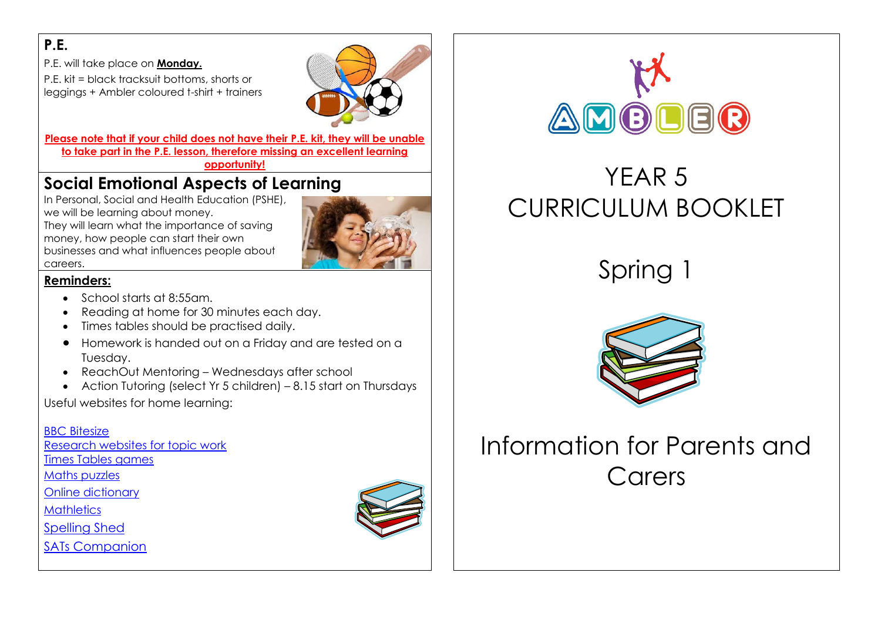### **P.E.**

P.E. will take place on **Monday.**

P.E. kit = black tracksuit bottoms, shorts or leggings + Ambler coloured t-shirt + trainers



**Please note that if your child does not have their P.E. kit, they will be unable to take part in the P.E. lesson, therefore missing an excellent learning** 

**opportunity!**

## **Social Emotional Aspects of Learning**

In Personal, Social and Health Education (PSHE), we will be learning about money. They will learn what the importance of saving money, how people can start their own

businesses and what influences people about



**Reminders:**

careers.

- School starts at 8:55am.
- Reading at home for 30 minutes each day.
- Times tables should be practised daily.
- Homework is handed out on a Friday and are tested on a Tuesday.
- ReachOut Mentoring Wednesdays after school
- Action Tutoring (select Yr 5 children) 8.15 start on Thursdays

Useful websites for home learning:

#### [BBC Bitesize](http://www.bbc.co.uk/bitesize/ks2/)

[Research websites for topic work](http://resources.woodlands-junior.kent.sch.uk/)

[Times Tables games](http://www.topmarks.co.uk/maths-games/7-11-years/times-tables)

[Maths puzzles](https://nrich.maths.org/)

[Online dictionary](https://dictionary.cambridge.org/dictionary/learner-english/)

**[Mathletics](http://uk.mathletics.com/)** 

[Spelling Shed](https://www.edshed.com/en-gb/login)

[SATs Companion](https://app.satscompanion.com/login)





# YEAR 5 CURRICULUM BOOKLET

Spring 1



# Information for Parents and Carers